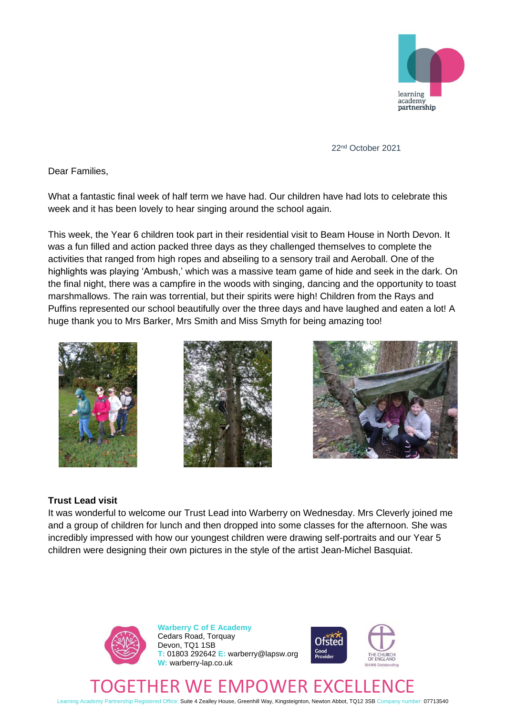

22nd October 2021

Dear Families,

What a fantastic final week of half term we have had. Our children have had lots to celebrate this week and it has been lovely to hear singing around the school again.

This week, the Year 6 children took part in their residential visit to Beam House in North Devon. It was a fun filled and action packed three days as they challenged themselves to complete the activities that ranged from high ropes and abseiling to a sensory trail and Aeroball. One of the highlights was playing 'Ambush,' which was a massive team game of hide and seek in the dark. On the final night, there was a campfire in the woods with singing, dancing and the opportunity to toast marshmallows. The rain was torrential, but their spirits were high! Children from the Rays and Puffins represented our school beautifully over the three days and have laughed and eaten a lot! A huge thank you to Mrs Barker, Mrs Smith and Miss Smyth for being amazing too!







## **Trust Lead visit**

It was wonderful to welcome our Trust Lead into Warberry on Wednesday. Mrs Cleverly joined me and a group of children for lunch and then dropped into some classes for the afternoon. She was incredibly impressed with how our youngest children were drawing self-portraits and our Year 5 children were designing their own pictures in the style of the artist Jean-Michel Basquiat.



**Warberry C of E Academy** Cedars Road, Torquay Devon, TQ1 1SB **T:** 01803 292642 **E:** warberry@lapsw.org **W:** warberry-lap.co.uk



## R WE EMPOWER EXC

Learning Academy Partnership Registered Office: Suite 4 Zealley House, Greenhill Way, Kingsteignton, Newton Abbot, TQ12 3SB Company number: 07713540